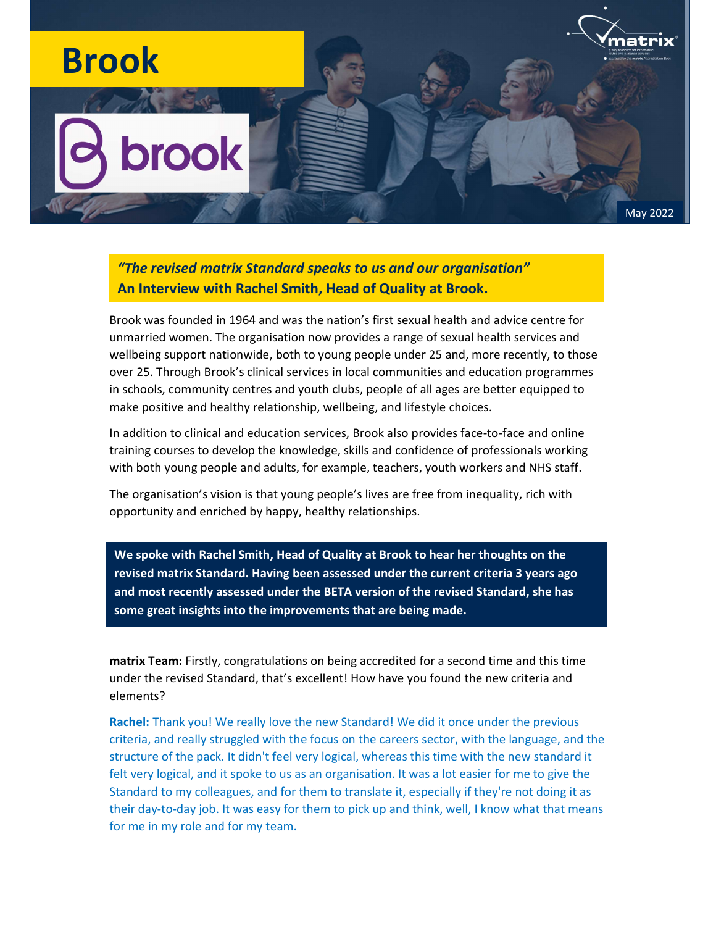## natrıx Brook **brook** May 2022

"The revised matrix Standard speaks to us and our organisation" An Interview with Rachel Smith, Head of Quality at Brook.

Brook was founded in 1964 and was the nation's first sexual health and advice centre for unmarried women. The organisation now provides a range of sexual health services and wellbeing support nationwide, both to young people under 25 and, more recently, to those over 25. Through Brook's clinical services in local communities and education programmes in schools, community centres and youth clubs, people of all ages are better equipped to make positive and healthy relationship, wellbeing, and lifestyle choices.

In addition to clinical and education services, Brook also provides face-to-face and online training courses to develop the knowledge, skills and confidence of professionals working with both young people and adults, for example, teachers, youth workers and NHS staff.

The organisation's vision is that young people's lives are free from inequality, rich with opportunity and enriched by happy, healthy relationships.

We spoke with Rachel Smith, Head of Quality at Brook to hear her thoughts on the revised matrix Standard. Having been assessed under the current criteria 3 years ago and most recently assessed under the BETA version of the revised Standard, she has some great insights into the improvements that are being made.

matrix Team: Firstly, congratulations on being accredited for a second time and this time under the revised Standard, that's excellent! How have you found the new criteria and elements?

Rachel: Thank you! We really love the new Standard! We did it once under the previous criteria, and really struggled with the focus on the careers sector, with the language, and the structure of the pack. It didn't feel very logical, whereas this time with the new standard it felt very logical, and it spoke to us as an organisation. It was a lot easier for me to give the Standard to my colleagues, and for them to translate it, especially if they're not doing it as their day-to-day job. It was easy for them to pick up and think, well, I know what that means for me in my role and for my team.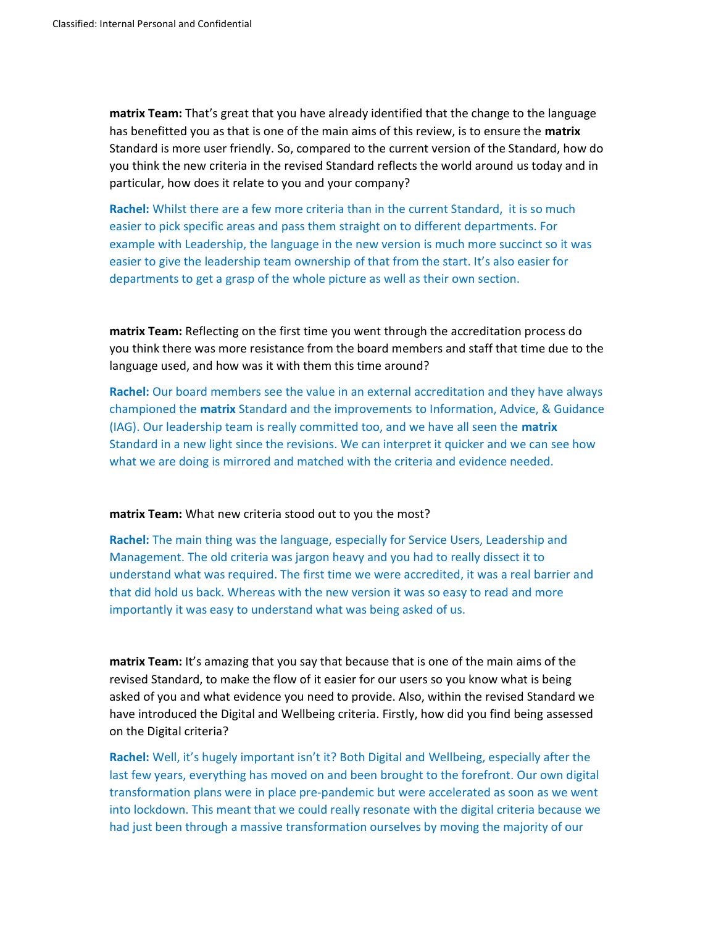matrix Team: That's great that you have already identified that the change to the language has benefitted you as that is one of the main aims of this review, is to ensure the matrix Standard is more user friendly. So, compared to the current version of the Standard, how do you think the new criteria in the revised Standard reflects the world around us today and in particular, how does it relate to you and your company?

Rachel: Whilst there are a few more criteria than in the current Standard, it is so much easier to pick specific areas and pass them straight on to different departments. For example with Leadership, the language in the new version is much more succinct so it was easier to give the leadership team ownership of that from the start. It's also easier for departments to get a grasp of the whole picture as well as their own section.

matrix Team: Reflecting on the first time you went through the accreditation process do you think there was more resistance from the board members and staff that time due to the language used, and how was it with them this time around?

Rachel: Our board members see the value in an external accreditation and they have always championed the **matrix** Standard and the improvements to Information, Advice, & Guidance (IAG). Our leadership team is really committed too, and we have all seen the matrix Standard in a new light since the revisions. We can interpret it quicker and we can see how what we are doing is mirrored and matched with the criteria and evidence needed.

## matrix Team: What new criteria stood out to you the most?

Rachel: The main thing was the language, especially for Service Users, Leadership and Management. The old criteria was jargon heavy and you had to really dissect it to understand what was required. The first time we were accredited, it was a real barrier and that did hold us back. Whereas with the new version it was so easy to read and more importantly it was easy to understand what was being asked of us.

matrix Team: It's amazing that you say that because that is one of the main aims of the revised Standard, to make the flow of it easier for our users so you know what is being asked of you and what evidence you need to provide. Also, within the revised Standard we have introduced the Digital and Wellbeing criteria. Firstly, how did you find being assessed on the Digital criteria?

Rachel: Well, it's hugely important isn't it? Both Digital and Wellbeing, especially after the last few years, everything has moved on and been brought to the forefront. Our own digital transformation plans were in place pre-pandemic but were accelerated as soon as we went into lockdown. This meant that we could really resonate with the digital criteria because we had just been through a massive transformation ourselves by moving the majority of our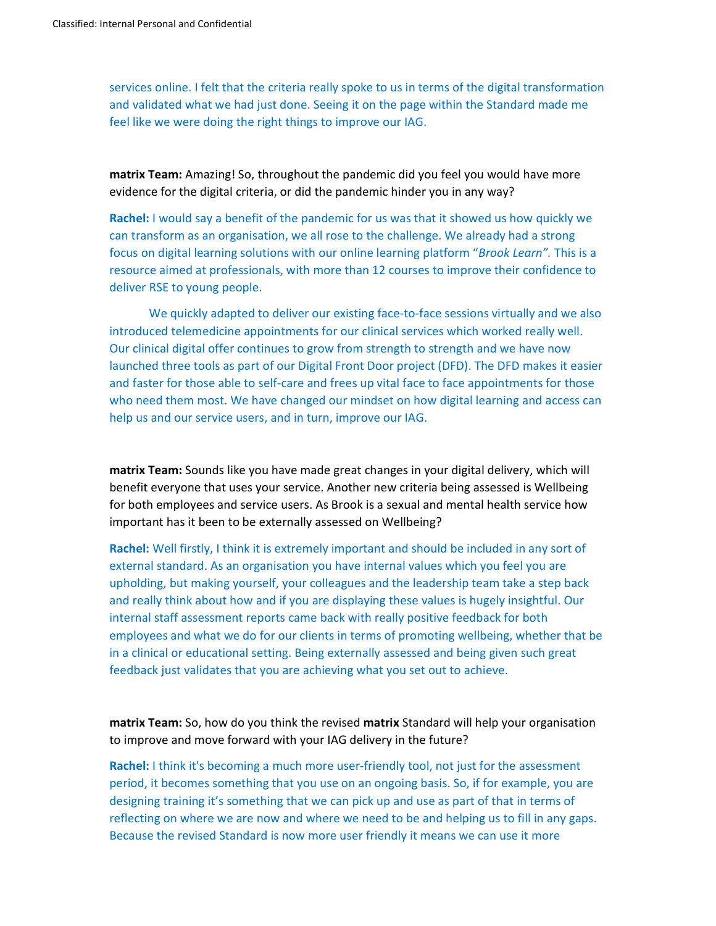services online. I felt that the criteria really spoke to us in terms of the digital transformation and validated what we had just done. Seeing it on the page within the Standard made me feel like we were doing the right things to improve our IAG.

matrix Team: Amazing! So, throughout the pandemic did you feel you would have more evidence for the digital criteria, or did the pandemic hinder you in any way?

Rachel: I would say a benefit of the pandemic for us was that it showed us how quickly we can transform as an organisation, we all rose to the challenge. We already had a strong focus on digital learning solutions with our online learning platform "Brook Learn". This is a resource aimed at professionals, with more than 12 courses to improve their confidence to deliver RSE to young people.

We quickly adapted to deliver our existing face-to-face sessions virtually and we also introduced telemedicine appointments for our clinical services which worked really well. Our clinical digital offer continues to grow from strength to strength and we have now launched three tools as part of our Digital Front Door project (DFD). The DFD makes it easier and faster for those able to self-care and frees up vital face to face appointments for those who need them most. We have changed our mindset on how digital learning and access can help us and our service users, and in turn, improve our IAG.

matrix Team: Sounds like you have made great changes in your digital delivery, which will benefit everyone that uses your service. Another new criteria being assessed is Wellbeing for both employees and service users. As Brook is a sexual and mental health service how important has it been to be externally assessed on Wellbeing?

Rachel: Well firstly, I think it is extremely important and should be included in any sort of external standard. As an organisation you have internal values which you feel you are upholding, but making yourself, your colleagues and the leadership team take a step back and really think about how and if you are displaying these values is hugely insightful. Our internal staff assessment reports came back with really positive feedback for both employees and what we do for our clients in terms of promoting wellbeing, whether that be in a clinical or educational setting. Being externally assessed and being given such great feedback just validates that you are achieving what you set out to achieve.

matrix Team: So, how do you think the revised matrix Standard will help your organisation to improve and move forward with your IAG delivery in the future?

Rachel: I think it's becoming a much more user-friendly tool, not just for the assessment period, it becomes something that you use on an ongoing basis. So, if for example, you are designing training it's something that we can pick up and use as part of that in terms of reflecting on where we are now and where we need to be and helping us to fill in any gaps. Because the revised Standard is now more user friendly it means we can use it more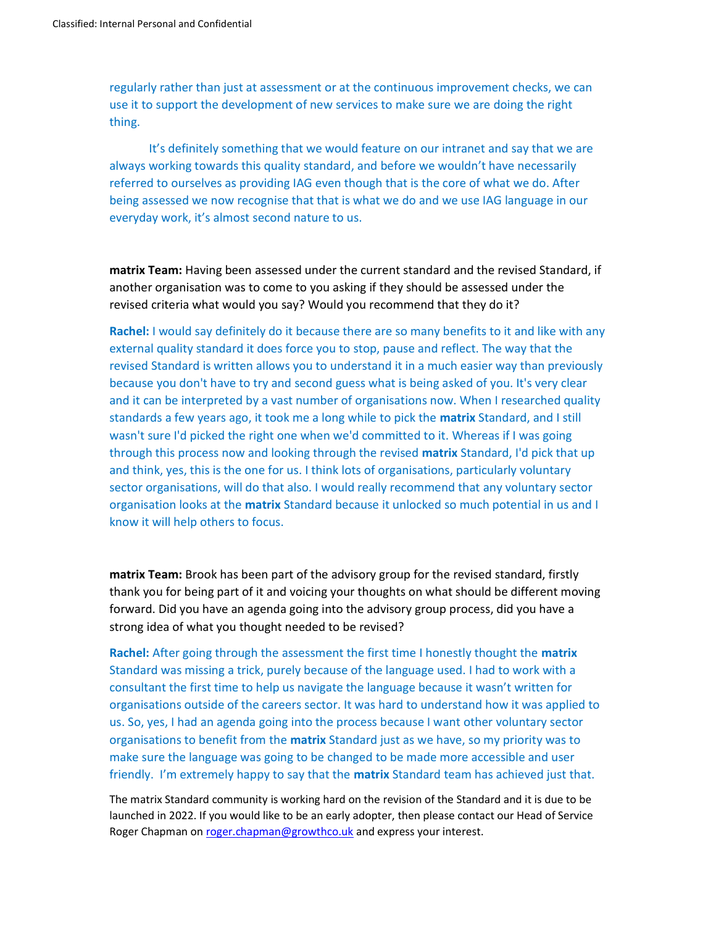regularly rather than just at assessment or at the continuous improvement checks, we can use it to support the development of new services to make sure we are doing the right thing.

It's definitely something that we would feature on our intranet and say that we are always working towards this quality standard, and before we wouldn't have necessarily referred to ourselves as providing IAG even though that is the core of what we do. After being assessed we now recognise that that is what we do and we use IAG language in our everyday work, it's almost second nature to us.

matrix Team: Having been assessed under the current standard and the revised Standard, if another organisation was to come to you asking if they should be assessed under the revised criteria what would you say? Would you recommend that they do it?

Rachel: I would say definitely do it because there are so many benefits to it and like with any external quality standard it does force you to stop, pause and reflect. The way that the revised Standard is written allows you to understand it in a much easier way than previously because you don't have to try and second guess what is being asked of you. It's very clear and it can be interpreted by a vast number of organisations now. When I researched quality standards a few years ago, it took me a long while to pick the **matrix** Standard, and I still wasn't sure I'd picked the right one when we'd committed to it. Whereas if I was going through this process now and looking through the revised matrix Standard, I'd pick that up and think, yes, this is the one for us. I think lots of organisations, particularly voluntary sector organisations, will do that also. I would really recommend that any voluntary sector organisation looks at the matrix Standard because it unlocked so much potential in us and I know it will help others to focus.

matrix Team: Brook has been part of the advisory group for the revised standard, firstly thank you for being part of it and voicing your thoughts on what should be different moving forward. Did you have an agenda going into the advisory group process, did you have a strong idea of what you thought needed to be revised?

Rachel: After going through the assessment the first time I honestly thought the matrix Standard was missing a trick, purely because of the language used. I had to work with a consultant the first time to help us navigate the language because it wasn't written for organisations outside of the careers sector. It was hard to understand how it was applied to us. So, yes, I had an agenda going into the process because I want other voluntary sector organisations to benefit from the matrix Standard just as we have, so my priority was to make sure the language was going to be changed to be made more accessible and user friendly. I'm extremely happy to say that the **matrix** Standard team has achieved just that.

The matrix Standard community is working hard on the revision of the Standard and it is due to be launched in 2022. If you would like to be an early adopter, then please contact our Head of Service Roger Chapman on roger.chapman@growthco.uk and express your interest.